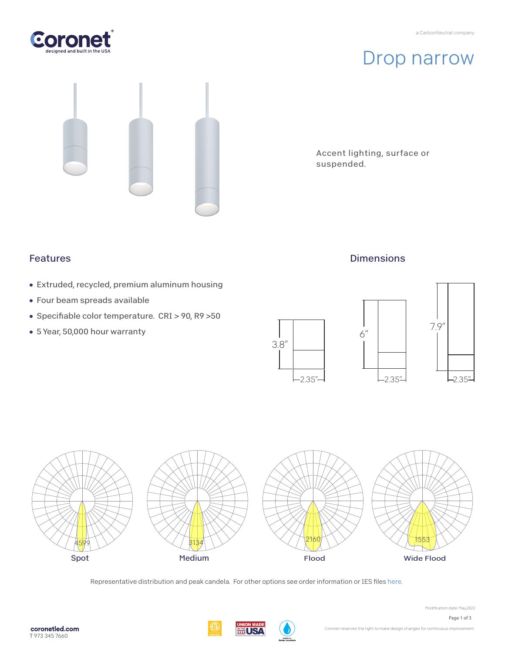



# Drop narrow

Accent lighting, surface or suspended.

### Features

- Extruded, recycled, premium aluminum housing
- Four beam spreads available
- Specifiable color temperature. CRI > 90, R9 >50
- 5 Year, 50,000 hour warranty



**Dimensions** 



Representative distribution and peak candela. For other options see order information or IES files [here.](https://coronetled.com/downloads/)

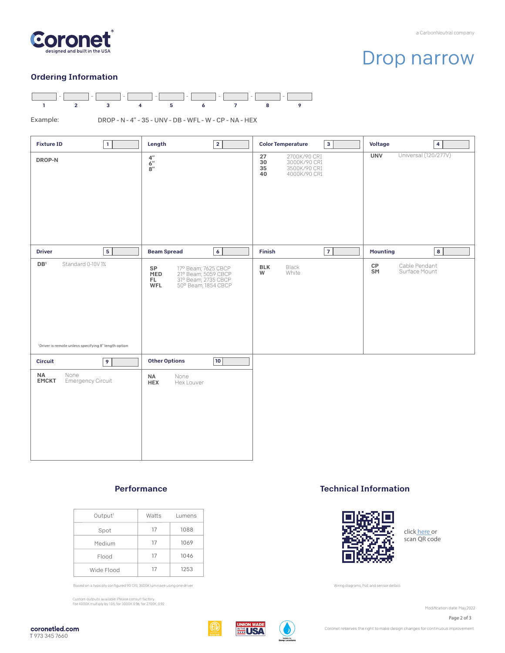

## Drop narrow

#### Ordering Information



Example:

DROP - N - 4" - 35 - UNV - DB - WFL - W - CP - NA - HEX

| $\mathbf{1}$<br><b>Fixture ID</b>                                                                       | $\overline{2}$<br>Length                                                                                            | <b>Color Temperature</b><br>$\mathbf{3}$                                                 | <b>Voltage</b><br>$\overline{\mathbf{4}}$             |
|---------------------------------------------------------------------------------------------------------|---------------------------------------------------------------------------------------------------------------------|------------------------------------------------------------------------------------------|-------------------------------------------------------|
| DROP-N                                                                                                  | $\frac{4^{\prime\prime}}{6^{\prime\prime}}$<br>$8^{\prime\prime}$                                                   | 27<br>2700K/90 CRI<br>$30\,$<br>3000K/90 CRI<br>35<br>3500K/90 CRI<br>4000K/90 CRI<br>40 | Universal (120/277V)<br><b>UNV</b>                    |
| 5 <sup>1</sup><br><b>Driver</b>                                                                         | 6<br><b>Beam Spread</b>                                                                                             | $\overline{7}$<br>Finish                                                                 | $\bf8$<br><b>Mounting</b>                             |
| $\mathsf{DB}^1$<br>Standard 0-10V1%<br><sup>1</sup> Driver is remote unless specifying 8" length option | 17° Beam; 7625 CBCP<br>21° Beam; 5059 CBCP<br>31° Beam; 2735 CBCP<br>SP<br>MED<br>FL.<br>50° Beam; 1854 CBCP<br>WFL | Black<br><b>BLK</b><br>W<br>White                                                        | $\mathsf{CP}$<br>Cable Pendant<br>SM<br>Surface Mount |
| $\overline{9}$<br><b>Circuit</b>                                                                        | 10 <br><b>Other Options</b>                                                                                         |                                                                                          |                                                       |
| <b>NA</b><br>None<br>Emergency Circuit<br><b>EMCKT</b>                                                  | <b>NA</b><br>None<br><b>HEX</b><br>Hex Louver                                                                       |                                                                                          |                                                       |

#### Performance

| Output <sup>1</sup> | Watts | Lumens |
|---------------------|-------|--------|
| Spot                | 17    | 1088   |
| Medium              | 17    | 1069   |
| Flood               | 17    | 1046   |
| Wide Flood          | 17    | 1253   |

Based on a typically configured 90 CRI, 3500K luminaire using one driver.

Custom outputs available. Please consult factory. For 4000K multiply by 1.05; for 3000K 0.96; for 2700K, 0.92.

### Technical Information



click [here o](https://coronetled.com/warranty-technical-info/)r scan QR code

Wiring diagrams, PoE and sensor details

Modification date: May, 2022

Page 2 of 3